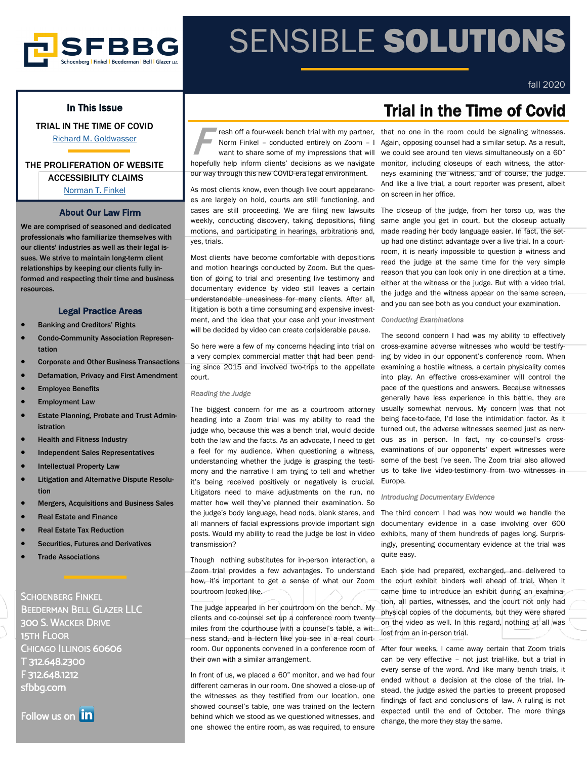

# SENSIBLE SOLUTIONS

## In This Issue

TRIAL IN THE TIME OF COVID [Richard M. Goldwasser](https://www.sfbbg.com/people/richard-m-goldwasser)

### THE PROLIFERATION OF WEBSITE ACCESSIBILITY CLAIMS [Norman T. Finkel](https://www.sfbbg.com/people/norman-t-finkel)

## About Our Law Firm

We are comprised of seasoned and dedicated professionals who familiarize themselves with our clients' industries as well as their legal issues. We strive to maintain long-term client relationships by keeping our clients fully informed and respecting their time and business resources.

#### Legal Practice Areas

- Banking and Creditors' Rights
- Condo-Community Association Representation
- Corporate and Other Business Transactions
- Defamation, Privacy and First Amendment
- **Employee Benefits**
- **Employment Law**
- Estate Planning, Probate and Trust Administration
- Health and Fitness Industry
- Independent Sales Representatives
- **Intellectual Property Law**
- Litigation and Alternative Dispute Resolution
- Mergers, Acquisitions and Business Sales
- Real Estate and Finance
- Real Estate Tax Reduction
- Securities, Futures and Derivatives
- **Trade Associations**

SCHOENBERG FINKEL BEEDERMAN BELL GLAZER LLC 300 S. WACKER DRIVE 15TH FLOOR CHICAGO ILLINOIS 60606 T 312.648.2300 F 312.648.1212 sfbbg.com

Follow us on **in** 

**F** resh off a four-week bench trial with my partner, Norm Finkel – conducted entirely on Zoom – I want to share some of my impressions that will hopefully help inform clients' decisions as we navigate our way through this new COVID-era legal environment.

As most clients know, even though live court appearances are largely on hold, courts are still functioning, and cases are still proceeding. We are filing new lawsuits weekly, conducting discovery, taking depositions, filing motions, and participating in hearings, arbitrations and, yes, trials.

Most clients have become comfortable with depositions and motion hearings conducted by Zoom. But the question of going to trial and presenting live testimony and documentary evidence by video still leaves a certain understandable uneasiness for many clients. After all, litigation is both a time consuming and expensive investment, and the idea that your case and your investment will be decided by video can create considerable pause.

So here were a few of my concerns heading into trial on a very complex commercial matter that had been pending since 2015 and involved two-trips to the appellate court.

#### *Reading the Judge*

The biggest concern for me as a courtroom attorney heading into a Zoom trial was my ability to read the judge who, because this was a bench trial, would decide both the law and the facts. As an advocate, I need to get a feel for my audience. When questioning a witness, understanding whether the judge is grasping the testimony and the narrative I am trying to tell and whether it's being received positively or negatively is crucial. Litigators need to make adjustments on the run, no matter how well they've planned their examination. So the judge's body language, head nods, blank stares, and all manners of facial expressions provide important sign posts. Would my ability to read the judge be lost in video transmission?

Though nothing substitutes for in-person interaction, a Zoom trial provides a few advantages. To understand how, it's important to get a sense of what our Zoom courtroom looked like.

The judge appeared in her courtroom on the bench. My clients and co-counsel set up a conference room twenty miles from the courthouse with a counsel's table, a witness stand, and a lectern like you see in a real courtroom. Our opponents convened in a conference room of their own with a similar arrangement.

In front of us, we placed a 60" monitor, and we had four different cameras in our room. One showed a close-up of the witnesses as they testified from our location, one showed counsel's table, one was trained on the lectern behind which we stood as we questioned witnesses, and one showed the entire room, as was required, to ensure

# Trial in the Time of Covid

fall 2020

that no one in the room could be signaling witnesses. Again, opposing counsel had a similar setup. As a result, we could see around ten views simultaneously on a 60" monitor, including closeups of each witness, the attorneys examining the witness, and of course, the judge. And like a live trial, a court reporter was present, albeit on screen in her office.

The closeup of the judge, from her torso up, was the same angle you get in court, but the closeup actually made reading her body language easier. In fact, the setup had one distinct advantage over a live trial. In a courtroom, it is nearly impossible to question a witness and read the judge at the same time for the very simple reason that you can look only in one direction at a time, either at the witness or the judge. But with a video trial, the judge and the witness appear on the same screen, and you can see both as you conduct your examination.

#### *Conducting Examinations*

The second concern I had was my ability to effectively cross-examine adverse witnesses who would be testifying by video in our opponent's conference room. When examining a hostile witness, a certain physicality comes into play. An effective cross-examiner will control the pace of the questions and answers. Because witnesses generally have less experience in this battle, they are usually somewhat nervous. My concern was that not being face-to-face, I'd lose the intimidation factor. As it turned out, the adverse witnesses seemed just as nervous as in person. In fact, my co-counsel's crossexaminations of our opponents' expert witnesses were some of the best I've seen. The Zoom trial also allowed us to take live video-testimony from two witnesses in Europe.

#### *Introducing Documentary Evidence*

The third concern I had was how would we handle the documentary evidence in a case involving over 600 exhibits, many of them hundreds of pages long. Surprisingly, presenting documentary evidence at the trial was quite easy.

Each side had prepared, exchanged, and delivered to the court exhibit binders well ahead of trial. When it came time to introduce an exhibit during an examination, all parties, witnesses, and the court not only had physical copies of the documents, but they were shared on the video as well. In this regard, nothing at all was lost from an in-person trial.

After four weeks, I came away certain that Zoom trials can be very effective – not just trial-like, but a trial in every sense of the word. And like many bench trials, it ended without a decision at the close of the trial. Instead, the judge asked the parties to present proposed findings of fact and conclusions of law. A ruling is not expected until the end of October. The more things change, the more they stay the same.